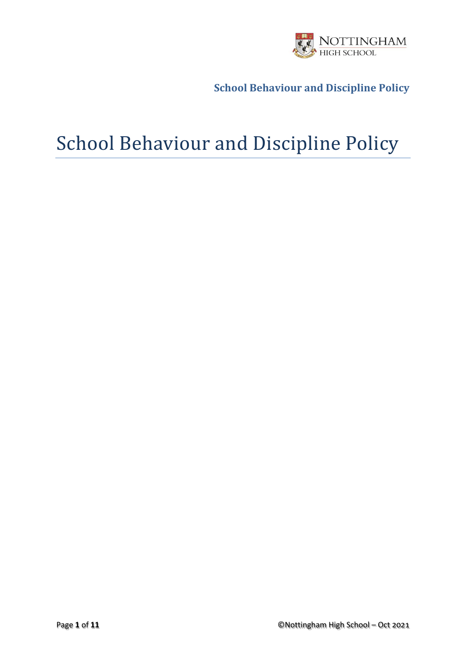

# School Behaviour and Discipline Policy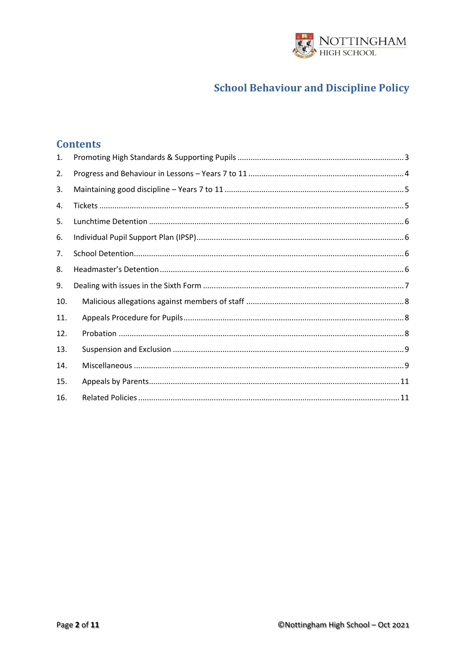

#### **Contents**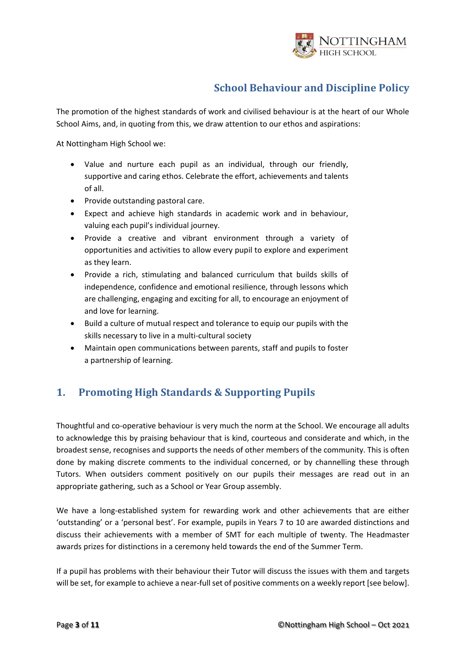

The promotion of the highest standards of work and civilised behaviour is at the heart of our Whole School Aims, and, in quoting from this, we draw attention to our ethos and aspirations:

At Nottingham High School we:

- Value and nurture each pupil as an individual, through our friendly, supportive and caring ethos. Celebrate the effort, achievements and talents of all.
- Provide outstanding pastoral care.
- Expect and achieve high standards in academic work and in behaviour, valuing each pupil's individual journey.
- Provide a creative and vibrant environment through a variety of opportunities and activities to allow every pupil to explore and experiment as they learn.
- Provide a rich, stimulating and balanced curriculum that builds skills of independence, confidence and emotional resilience, through lessons which are challenging, engaging and exciting for all, to encourage an enjoyment of and love for learning.
- Build a culture of mutual respect and tolerance to equip our pupils with the skills necessary to live in a multi-cultural society
- Maintain open communications between parents, staff and pupils to foster a partnership of learning.

## <span id="page-2-0"></span>**1. Promoting High Standards & Supporting Pupils**

Thoughtful and co-operative behaviour is very much the norm at the School. We encourage all adults to acknowledge this by praising behaviour that is kind, courteous and considerate and which, in the broadest sense, recognises and supports the needs of other members of the community. This is often done by making discrete comments to the individual concerned, or by channelling these through Tutors. When outsiders comment positively on our pupils their messages are read out in an appropriate gathering, such as a School or Year Group assembly.

We have a long-established system for rewarding work and other achievements that are either 'outstanding' or a 'personal best'. For example, pupils in Years 7 to 10 are awarded distinctions and discuss their achievements with a member of SMT for each multiple of twenty. The Headmaster awards prizes for distinctions in a ceremony held towards the end of the Summer Term.

If a pupil has problems with their behaviour their Tutor will discuss the issues with them and targets will be set, for example to achieve a near-full set of positive comments on a weekly report [see below].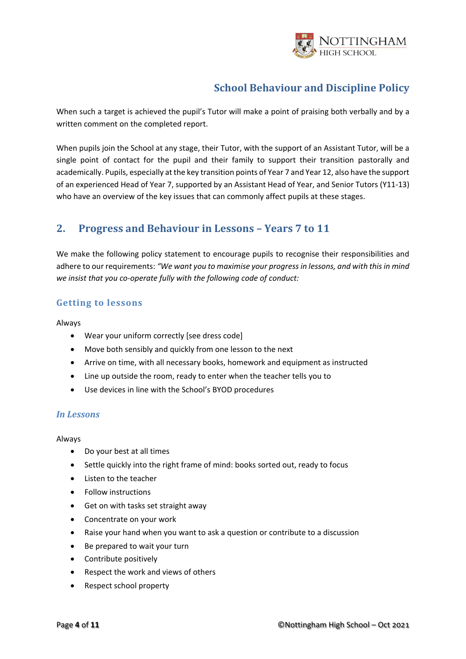

When such a target is achieved the pupil's Tutor will make a point of praising both verbally and by a written comment on the completed report.

When pupils join the School at any stage, their Tutor, with the support of an Assistant Tutor, will be a single point of contact for the pupil and their family to support their transition pastorally and academically. Pupils, especially at the key transition points of Year 7 and Year 12, also have the support of an experienced Head of Year 7, supported by an Assistant Head of Year, and Senior Tutors (Y11-13) who have an overview of the key issues that can commonly affect pupils at these stages.

#### <span id="page-3-0"></span>**2. Progress and Behaviour in Lessons – Years 7 to 11**

We make the following policy statement to encourage pupils to recognise their responsibilities and adhere to our requirements: *"We want you to maximise your progress in lessons, and with this in mind we insist that you co-operate fully with the following code of conduct:*

#### **Getting to lessons**

Always

- Wear your uniform correctly [see dress code]
- Move both sensibly and quickly from one lesson to the next
- Arrive on time, with all necessary books, homework and equipment as instructed
- Line up outside the room, ready to enter when the teacher tells you to
- Use devices in line with the School's BYOD procedures

#### *In Lessons*

Always

- Do your best at all times
- Settle quickly into the right frame of mind: books sorted out, ready to focus
- Listen to the teacher
- Follow instructions
- Get on with tasks set straight away
- Concentrate on your work
- Raise your hand when you want to ask a question or contribute to a discussion
- Be prepared to wait your turn
- Contribute positively
- Respect the work and views of others
- Respect school property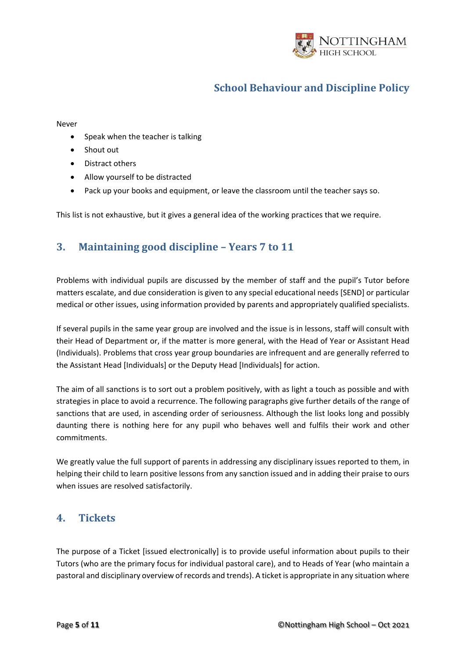

#### Never

- Speak when the teacher is talking
- Shout out
- Distract others
- Allow yourself to be distracted
- Pack up your books and equipment, or leave the classroom until the teacher says so.

<span id="page-4-0"></span>This list is not exhaustive, but it gives a general idea of the working practices that we require.

#### **3. Maintaining good discipline – Years 7 to 11**

Problems with individual pupils are discussed by the member of staff and the pupil's Tutor before matters escalate, and due consideration is given to any special educational needs [SEND] or particular medical or other issues, using information provided by parents and appropriately qualified specialists.

If several pupils in the same year group are involved and the issue is in lessons, staff will consult with their Head of Department or, if the matter is more general, with the Head of Year or Assistant Head (Individuals). Problems that cross year group boundaries are infrequent and are generally referred to the Assistant Head [Individuals] or the Deputy Head [Individuals] for action.

The aim of all sanctions is to sort out a problem positively, with as light a touch as possible and with strategies in place to avoid a recurrence. The following paragraphs give further details of the range of sanctions that are used, in ascending order of seriousness. Although the list looks long and possibly daunting there is nothing here for any pupil who behaves well and fulfils their work and other commitments.

We greatly value the full support of parents in addressing any disciplinary issues reported to them, in helping their child to learn positive lessons from any sanction issued and in adding their praise to ours when issues are resolved satisfactorily.

#### <span id="page-4-1"></span>**4. Tickets**

The purpose of a Ticket [issued electronically] is to provide useful information about pupils to their Tutors (who are the primary focus for individual pastoral care), and to Heads of Year (who maintain a pastoral and disciplinary overview of records and trends). A ticket is appropriate in any situation where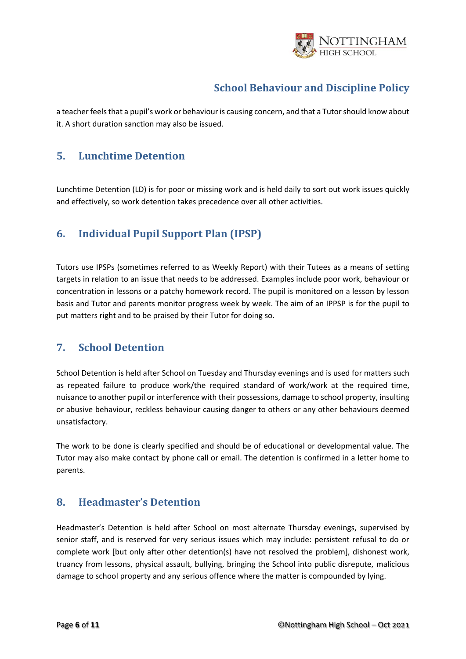

a teacher feels that a pupil's work or behaviour is causing concern, and that a Tutor should know about it. A short duration sanction may also be issued.

#### <span id="page-5-0"></span>**5. Lunchtime Detention**

Lunchtime Detention (LD) is for poor or missing work and is held daily to sort out work issues quickly and effectively, so work detention takes precedence over all other activities.

## <span id="page-5-1"></span>**6. Individual Pupil Support Plan (IPSP)**

Tutors use IPSPs (sometimes referred to as Weekly Report) with their Tutees as a means of setting targets in relation to an issue that needs to be addressed. Examples include poor work, behaviour or concentration in lessons or a patchy homework record. The pupil is monitored on a lesson by lesson basis and Tutor and parents monitor progress week by week. The aim of an IPPSP is for the pupil to put matters right and to be praised by their Tutor for doing so.

#### <span id="page-5-2"></span>**7. School Detention**

School Detention is held after School on Tuesday and Thursday evenings and is used for matters such as repeated failure to produce work/the required standard of work/work at the required time, nuisance to another pupil or interference with their possessions, damage to school property, insulting or abusive behaviour, reckless behaviour causing danger to others or any other behaviours deemed unsatisfactory.

The work to be done is clearly specified and should be of educational or developmental value. The Tutor may also make contact by phone call or email. The detention is confirmed in a letter home to parents.

#### <span id="page-5-3"></span>**8. Headmaster's Detention**

Headmaster's Detention is held after School on most alternate Thursday evenings, supervised by senior staff, and is reserved for very serious issues which may include: persistent refusal to do or complete work [but only after other detention(s) have not resolved the problem], dishonest work, truancy from lessons, physical assault, bullying, bringing the School into public disrepute, malicious damage to school property and any serious offence where the matter is compounded by lying.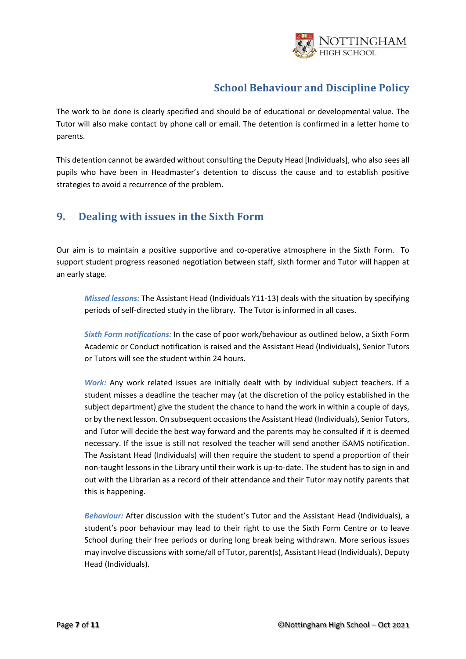

The work to be done is clearly specified and should be of educational or developmental value. The Tutor will also make contact by phone call or email. The detention is confirmed in a letter home to parents.

This detention cannot be awarded without consulting the Deputy Head [Individuals], who also sees all pupils who have been in Headmaster's detention to discuss the cause and to establish positive strategies to avoid a recurrence of the problem.

#### <span id="page-6-0"></span>**9. Dealing with issues in the Sixth Form**

Our aim is to maintain a positive supportive and co-operative atmosphere in the Sixth Form. To support student progress reasoned negotiation between staff, sixth former and Tutor will happen at an early stage.

*Missed lessons:* The Assistant Head (Individuals Y11-13) deals with the situation by specifying periods of self-directed study in the library. The Tutor is informed in all cases.

*Sixth Form notifications:* In the case of poor work/behaviour as outlined below, a Sixth Form Academic or Conduct notification is raised and the Assistant Head (Individuals), Senior Tutors or Tutors will see the student within 24 hours.

*Work:* Any work related issues are initially dealt with by individual subject teachers. If a student misses a deadline the teacher may (at the discretion of the policy established in the subject department) give the student the chance to hand the work in within a couple of days, or by the next lesson. On subsequent occasions the Assistant Head (Individuals), Senior Tutors, and Tutor will decide the best way forward and the parents may be consulted if it is deemed necessary. If the issue is still not resolved the teacher will send another iSAMS notification. The Assistant Head (Individuals) will then require the student to spend a proportion of their non-taught lessons in the Library until their work is up-to-date. The student has to sign in and out with the Librarian as a record of their attendance and their Tutor may notify parents that this is happening.

*Behaviour:* After discussion with the student's Tutor and the Assistant Head (Individuals), a student's poor behaviour may lead to their right to use the Sixth Form Centre or to leave School during their free periods or during long break being withdrawn. More serious issues may involve discussions with some/all of Tutor, parent(s), Assistant Head (Individuals), Deputy Head (Individuals).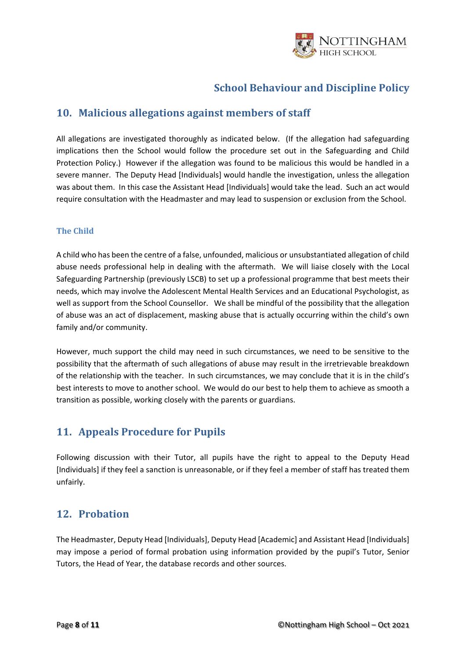

#### <span id="page-7-0"></span>**10. Malicious allegations against members of staff**

All allegations are investigated thoroughly as indicated below. (If the allegation had safeguarding implications then the School would follow the procedure set out in the Safeguarding and Child Protection Policy.) However if the allegation was found to be malicious this would be handled in a severe manner. The Deputy Head [Individuals] would handle the investigation, unless the allegation was about them. In this case the Assistant Head [Individuals] would take the lead. Such an act would require consultation with the Headmaster and may lead to suspension or exclusion from the School.

#### **The Child**

A child who has been the centre of a false, unfounded, malicious or unsubstantiated allegation of child abuse needs professional help in dealing with the aftermath. We will liaise closely with the Local Safeguarding Partnership (previously LSCB) to set up a professional programme that best meets their needs, which may involve the Adolescent Mental Health Services and an Educational Psychologist, as well as support from the School Counsellor. We shall be mindful of the possibility that the allegation of abuse was an act of displacement, masking abuse that is actually occurring within the child's own family and/or community.

However, much support the child may need in such circumstances, we need to be sensitive to the possibility that the aftermath of such allegations of abuse may result in the irretrievable breakdown of the relationship with the teacher. In such circumstances, we may conclude that it is in the child's best interests to move to another school. We would do our best to help them to achieve as smooth a transition as possible, working closely with the parents or guardians.

#### <span id="page-7-1"></span>**11. Appeals Procedure for Pupils**

Following discussion with their Tutor, all pupils have the right to appeal to the Deputy Head [Individuals] if they feel a sanction is unreasonable, or if they feel a member of staff has treated them unfairly.

#### <span id="page-7-2"></span>**12. Probation**

The Headmaster, Deputy Head [Individuals], Deputy Head [Academic] and Assistant Head [Individuals] may impose a period of formal probation using information provided by the pupil's Tutor, Senior Tutors, the Head of Year, the database records and other sources.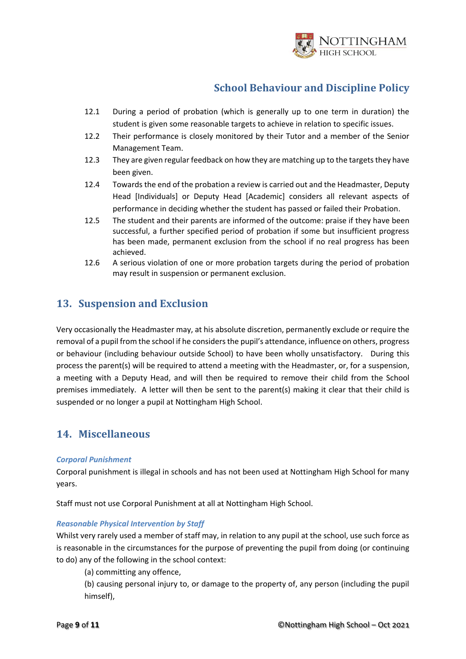

- 12.1 During a period of probation (which is generally up to one term in duration) the student is given some reasonable targets to achieve in relation to specific issues.
- 12.2 Their performance is closely monitored by their Tutor and a member of the Senior Management Team.
- 12.3 They are given regular feedback on how they are matching up to the targets they have been given.
- 12.4 Towards the end of the probation a review is carried out and the Headmaster, Deputy Head [Individuals] or Deputy Head [Academic] considers all relevant aspects of performance in deciding whether the student has passed or failed their Probation.
- 12.5 The student and their parents are informed of the outcome: praise if they have been successful, a further specified period of probation if some but insufficient progress has been made, permanent exclusion from the school if no real progress has been achieved.
- 12.6 A serious violation of one or more probation targets during the period of probation may result in suspension or permanent exclusion.

#### <span id="page-8-0"></span>**13. Suspension and Exclusion**

Very occasionally the Headmaster may, at his absolute discretion, permanently exclude or require the removal of a pupil from the school if he considers the pupil's attendance, influence on others, progress or behaviour (including behaviour outside School) to have been wholly unsatisfactory. During this process the parent(s) will be required to attend a meeting with the Headmaster, or, for a suspension, a meeting with a Deputy Head, and will then be required to remove their child from the School premises immediately. A letter will then be sent to the parent(s) making it clear that their child is suspended or no longer a pupil at Nottingham High School.

#### <span id="page-8-1"></span>**14. Miscellaneous**

#### *Corporal Punishment*

Corporal punishment is illegal in schools and has not been used at Nottingham High School for many years.

Staff must not use Corporal Punishment at all at Nottingham High School.

#### *Reasonable Physical Intervention by Staff*

Whilst very rarely used a member of staff may, in relation to any pupil at the school, use such force as is reasonable in the circumstances for the purpose of preventing the pupil from doing (or continuing to do) any of the following in the school context:

(a) committing any offence,

(b) causing personal injury to, or damage to the property of, any person (including the pupil himself),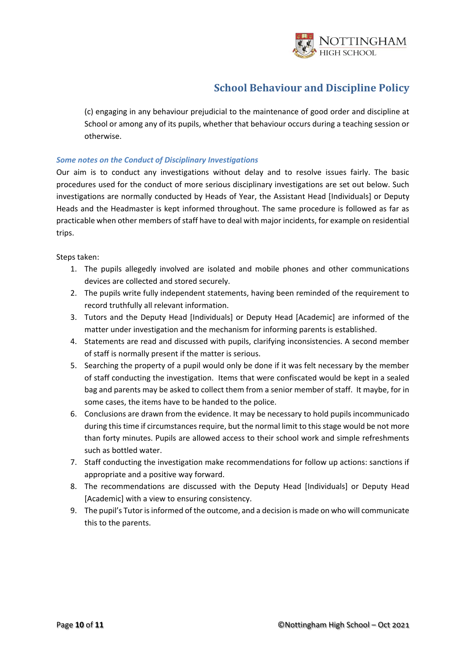

(c) engaging in any behaviour prejudicial to the maintenance of good order and discipline at School or among any of its pupils, whether that behaviour occurs during a teaching session or otherwise.

#### *Some notes on the Conduct of Disciplinary Investigations*

Our aim is to conduct any investigations without delay and to resolve issues fairly. The basic procedures used for the conduct of more serious disciplinary investigations are set out below. Such investigations are normally conducted by Heads of Year, the Assistant Head [Individuals] or Deputy Heads and the Headmaster is kept informed throughout. The same procedure is followed as far as practicable when other members of staff have to deal with major incidents, for example on residential trips.

Steps taken:

- 1. The pupils allegedly involved are isolated and mobile phones and other communications devices are collected and stored securely.
- 2. The pupils write fully independent statements, having been reminded of the requirement to record truthfully all relevant information.
- 3. Tutors and the Deputy Head [Individuals] or Deputy Head [Academic] are informed of the matter under investigation and the mechanism for informing parents is established.
- 4. Statements are read and discussed with pupils, clarifying inconsistencies. A second member of staff is normally present if the matter is serious.
- 5. Searching the property of a pupil would only be done if it was felt necessary by the member of staff conducting the investigation. Items that were confiscated would be kept in a sealed bag and parents may be asked to collect them from a senior member of staff. It maybe, for in some cases, the items have to be handed to the police.
- 6. Conclusions are drawn from the evidence. It may be necessary to hold pupils incommunicado during this time if circumstances require, but the normal limit to this stage would be not more than forty minutes. Pupils are allowed access to their school work and simple refreshments such as bottled water.
- 7. Staff conducting the investigation make recommendations for follow up actions: sanctions if appropriate and a positive way forward.
- 8. The recommendations are discussed with the Deputy Head [Individuals] or Deputy Head [Academic] with a view to ensuring consistency.
- 9. The pupil's Tutor is informed of the outcome, and a decision is made on who will communicate this to the parents.